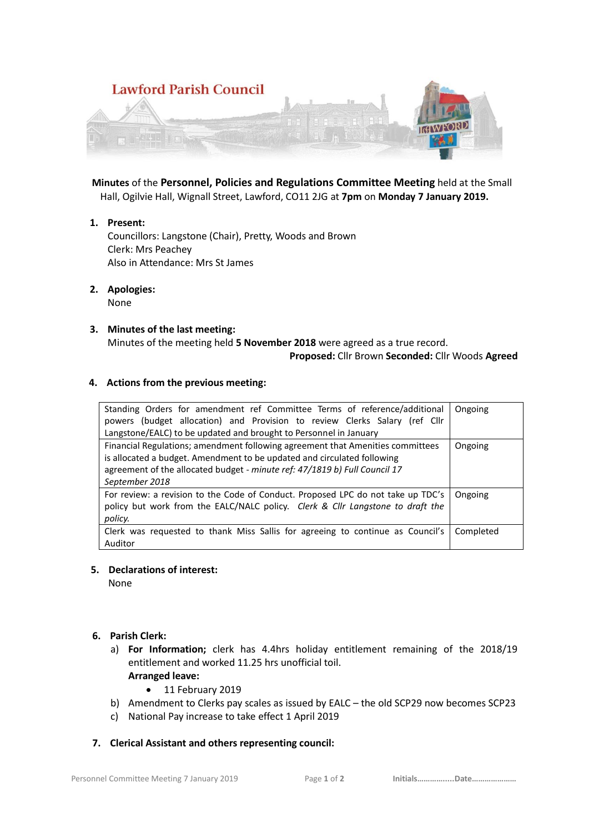

 **Minutes** of the **Personnel, Policies and Regulations Committee Meeting** held at the Small Hall, Ogilvie Hall, Wignall Street, Lawford, CO11 2JG at **7pm** on **Monday 7 January 2019.**

**1. Present:**

Councillors: Langstone (Chair), Pretty, Woods and Brown Clerk: Mrs Peachey Also in Attendance: Mrs St James

**2. Apologies:** 

None

**3. Minutes of the last meeting:** Minutes of the meeting held **5 November 2018** were agreed as a true record.  **Proposed:** Cllr Brown **Seconded:** Cllr Woods **Agreed**

## **4. Actions from the previous meeting:**

| Standing Orders for amendment ref Committee Terms of reference/additional<br>(budget allocation) and Provision to review Clerks Salary (ref Cllr<br>powers<br>Langstone/EALC) to be updated and brought to Personnel in January                           | Ongoing   |
|-----------------------------------------------------------------------------------------------------------------------------------------------------------------------------------------------------------------------------------------------------------|-----------|
| Financial Regulations; amendment following agreement that Amenities committees<br>is allocated a budget. Amendment to be updated and circulated following<br>agreement of the allocated budget - minute ref: 47/1819 b) Full Council 17<br>September 2018 | Ongoing   |
| For review: a revision to the Code of Conduct. Proposed LPC do not take up TDC's<br>policy but work from the EALC/NALC policy. Clerk & Cllr Langstone to draft the<br>policy.                                                                             | Ongoing   |
| Clerk was requested to thank Miss Sallis for agreeing to continue as Council's<br>Auditor                                                                                                                                                                 | Completed |

### **5. Declarations of interest:**

None

- **6. Parish Clerk:** 
	- a) **For Information;** clerk has 4.4hrs holiday entitlement remaining of the 2018/19 entitlement and worked 11.25 hrs unofficial toil. **Arranged leave:** 
		- 11 February 2019
	- b) Amendment to Clerks pay scales as issued by EALC the old SCP29 now becomes SCP23
	- c) National Pay increase to take effect 1 April 2019

## **7. Clerical Assistant and others representing council:**